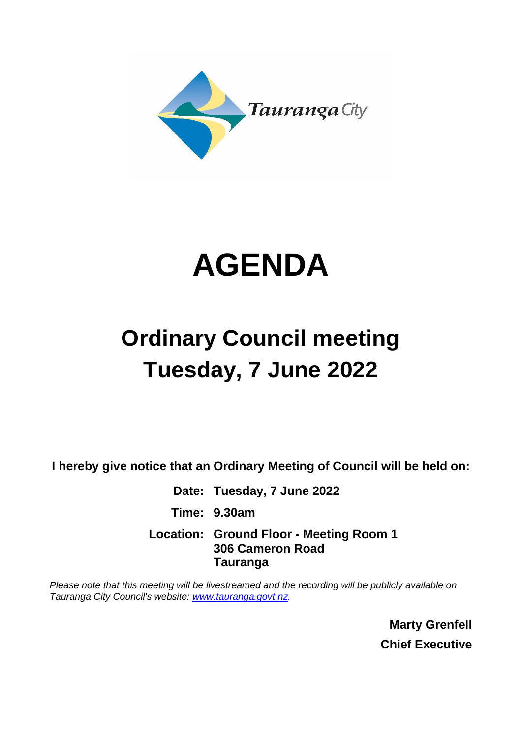



# **Ordinary Council meeting Tuesday, 7 June 2022**

**I hereby give notice that an Ordinary Meeting of Council will be held on:**

**Date: Tuesday, 7 June 2022 Time: 9.30am Location: Ground Floor - Meeting Room 1 306 Cameron Road Tauranga**

*Please note that this meeting will be livestreamed and the recording will be publicly available on Tauranga City Council's website: [www.tauranga.govt.nz.](http://www.tauranga.govt.nz/)*

> **Marty Grenfell Chief Executive**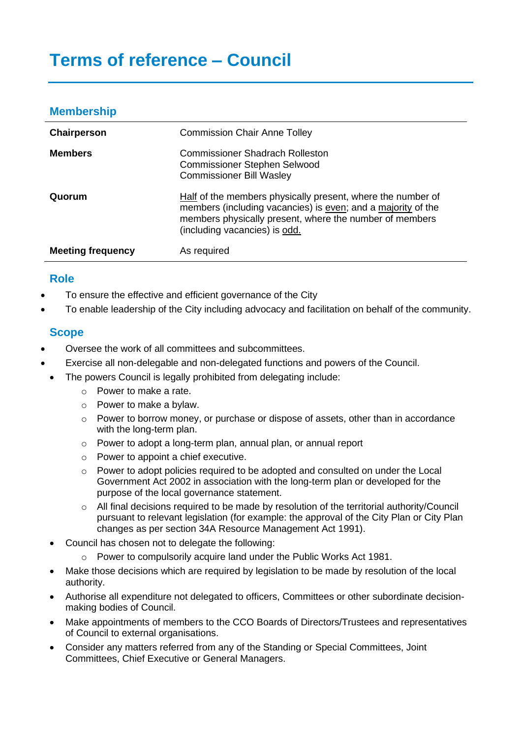## **Membership**

| Chairperson              | <b>Commission Chair Anne Tolley</b>                                                                                                                                                                                     |  |
|--------------------------|-------------------------------------------------------------------------------------------------------------------------------------------------------------------------------------------------------------------------|--|
| <b>Members</b>           | <b>Commissioner Shadrach Rolleston</b><br><b>Commissioner Stephen Selwood</b><br><b>Commissioner Bill Wasley</b>                                                                                                        |  |
| Quorum                   | Half of the members physically present, where the number of<br>members (including vacancies) is even; and a majority of the<br>members physically present, where the number of members<br>(including vacancies) is odd. |  |
| <b>Meeting frequency</b> | As required                                                                                                                                                                                                             |  |

## **Role**

- To ensure the effective and efficient governance of the City
- To enable leadership of the City including advocacy and facilitation on behalf of the community.

## **Scope**

- Oversee the work of all committees and subcommittees.
- Exercise all non-delegable and non-delegated functions and powers of the Council.
- The powers Council is legally prohibited from delegating include:
	- o Power to make a rate.
	- o Power to make a bylaw.
	- o Power to borrow money, or purchase or dispose of assets, other than in accordance with the long-term plan.
	- o Power to adopt a long-term plan, annual plan, or annual report
	- o Power to appoint a chief executive.
	- o Power to adopt policies required to be adopted and consulted on under the Local Government Act 2002 in association with the long-term plan or developed for the purpose of the local governance statement.
	- $\circ$  All final decisions required to be made by resolution of the territorial authority/Council pursuant to relevant legislation (for example: the approval of the City Plan or City Plan changes as per section 34A Resource Management Act 1991).
	- Council has chosen not to delegate the following:
		- o Power to compulsorily acquire land under the Public Works Act 1981.
	- Make those decisions which are required by legislation to be made by resolution of the local authority.
	- Authorise all expenditure not delegated to officers, Committees or other subordinate decisionmaking bodies of Council.
	- Make appointments of members to the CCO Boards of Directors/Trustees and representatives of Council to external organisations.
	- Consider any matters referred from any of the Standing or Special Committees, Joint Committees, Chief Executive or General Managers.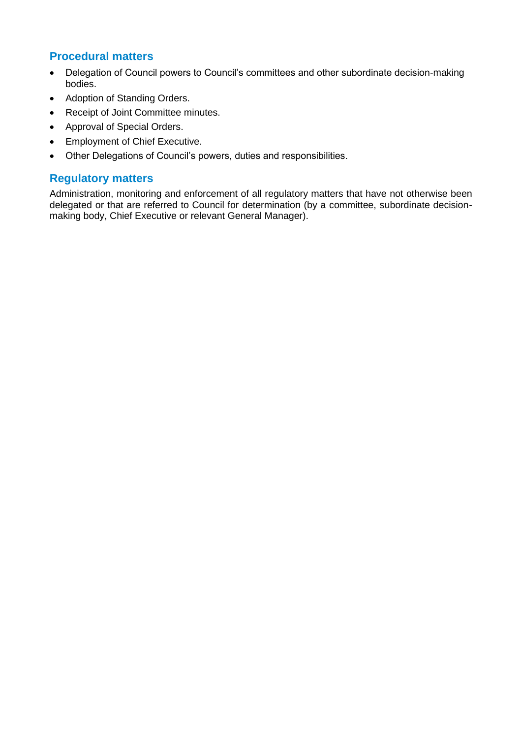## **Procedural matters**

- Delegation of Council powers to Council's committees and other subordinate decision-making bodies.
- Adoption of Standing Orders.
- Receipt of Joint Committee minutes.
- Approval of Special Orders.
- Employment of Chief Executive.
- Other Delegations of Council's powers, duties and responsibilities.

#### **Regulatory matters**

Administration, monitoring and enforcement of all regulatory matters that have not otherwise been delegated or that are referred to Council for determination (by a committee, subordinate decisionmaking body, Chief Executive or relevant General Manager).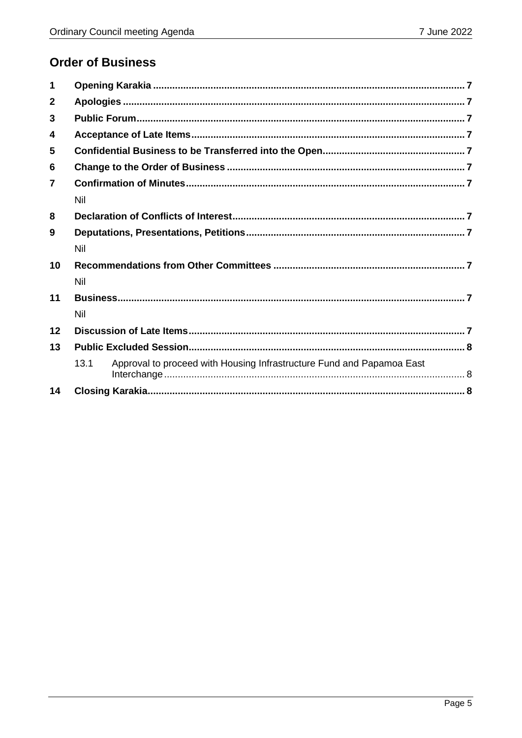# **Order of Business**

| 1              |      |                                                                       |  |
|----------------|------|-----------------------------------------------------------------------|--|
| $\mathbf{2}$   |      |                                                                       |  |
| 3              |      |                                                                       |  |
| 4              |      |                                                                       |  |
| 5              |      |                                                                       |  |
| 6              |      |                                                                       |  |
| $\overline{7}$ |      |                                                                       |  |
|                | Nil  |                                                                       |  |
| 8              |      |                                                                       |  |
| 9              |      |                                                                       |  |
|                | Nil  |                                                                       |  |
| 10             |      |                                                                       |  |
|                | Nil  |                                                                       |  |
| 11             |      |                                                                       |  |
|                | Nil  |                                                                       |  |
| 12             |      |                                                                       |  |
| 13             |      |                                                                       |  |
|                | 13.1 | Approval to proceed with Housing Infrastructure Fund and Papamoa East |  |
| 14             |      |                                                                       |  |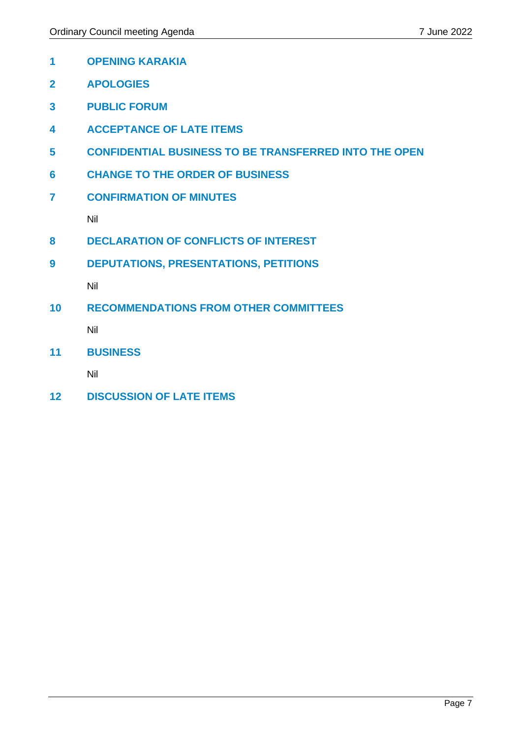- <span id="page-6-0"></span>**OPENING KARAKIA**
- <span id="page-6-1"></span>**APOLOGIES**
- <span id="page-6-2"></span>**PUBLIC FORUM**
- <span id="page-6-3"></span>**ACCEPTANCE OF LATE ITEMS**
- <span id="page-6-4"></span>**CONFIDENTIAL BUSINESS TO BE TRANSFERRED INTO THE OPEN**
- <span id="page-6-5"></span>**CHANGE TO THE ORDER OF BUSINESS**
- <span id="page-6-6"></span>**CONFIRMATION OF MINUTES**

Nil

- <span id="page-6-8"></span><span id="page-6-7"></span>**DECLARATION OF CONFLICTS OF INTEREST**
- <span id="page-6-9"></span>**DEPUTATIONS, PRESENTATIONS, PETITIONS**

Nil

<span id="page-6-11"></span><span id="page-6-10"></span>**RECOMMENDATIONS FROM OTHER COMMITTEES**

Nil

<span id="page-6-13"></span><span id="page-6-12"></span>**BUSINESS**

Nil

<span id="page-6-15"></span><span id="page-6-14"></span>**DISCUSSION OF LATE ITEMS**